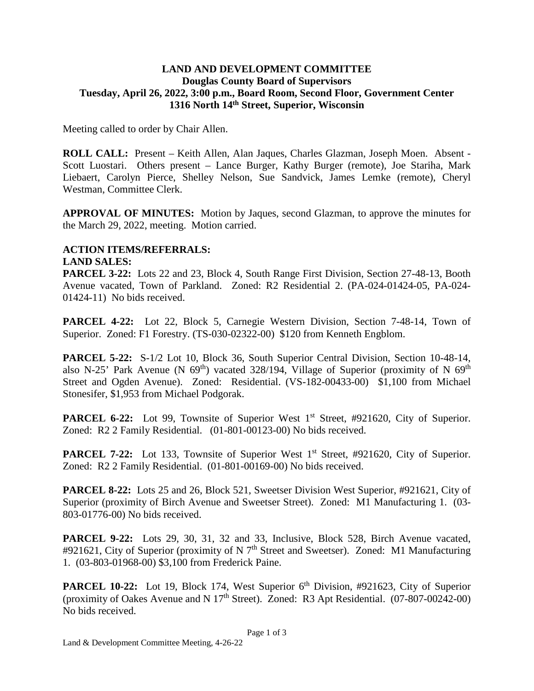## **LAND AND DEVELOPMENT COMMITTEE Douglas County Board of Supervisors Tuesday, April 26, 2022, 3:00 p.m., Board Room, Second Floor, Government Center 1316 North 14th Street, Superior, Wisconsin**

Meeting called to order by Chair Allen.

**ROLL CALL:** Present – Keith Allen, Alan Jaques, Charles Glazman, Joseph Moen. Absent - Scott Luostari. Others present – Lance Burger, Kathy Burger (remote), Joe Stariha, Mark Liebaert, Carolyn Pierce, Shelley Nelson, Sue Sandvick, James Lemke (remote), Cheryl Westman, Committee Clerk.

**APPROVAL OF MINUTES:** Motion by Jaques, second Glazman, to approve the minutes for the March 29, 2022, meeting. Motion carried.

## **ACTION ITEMS/REFERRALS: LAND SALES:**

**PARCEL 3-22:** Lots 22 and 23, Block 4, South Range First Division, Section 27-48-13, Booth Avenue vacated, Town of Parkland. Zoned: R2 Residential 2. (PA-024-01424-05, PA-024- 01424-11) No bids received.

**PARCEL 4-22:** Lot 22, Block 5, Carnegie Western Division, Section 7-48-14, Town of Superior. Zoned: F1 Forestry. (TS-030-02322-00) \$120 from Kenneth Engblom.

**PARCEL 5-22:** S-1/2 Lot 10, Block 36, South Superior Central Division, Section 10-48-14, also N-25' Park Avenue (N  $69<sup>th</sup>$ ) vacated 328/194, Village of Superior (proximity of N  $69<sup>th</sup>$ Street and Ogden Avenue). Zoned: Residential. (VS-182-00433-00) \$1,100 from Michael Stonesifer, \$1,953 from Michael Podgorak.

**PARCEL 6-22:** Lot 99, Townsite of Superior West 1<sup>st</sup> Street, #921620, City of Superior. Zoned: R2 2 Family Residential. (01-801-00123-00) No bids received.

**PARCEL 7-22:** Lot 133, Townsite of Superior West 1<sup>st</sup> Street, #921620, City of Superior. Zoned: R2 2 Family Residential. (01-801-00169-00) No bids received.

**PARCEL 8-22:** Lots 25 and 26, Block 521, Sweetser Division West Superior, #921621, City of Superior (proximity of Birch Avenue and Sweetser Street). Zoned: M1 Manufacturing 1. (03- 803-01776-00) No bids received.

**PARCEL 9-22:** Lots 29, 30, 31, 32 and 33, Inclusive, Block 528, Birch Avenue vacated, #921621, City of Superior (proximity of N 7<sup>th</sup> Street and Sweetser). Zoned: M1 Manufacturing 1. (03-803-01968-00) \$3,100 from Frederick Paine.

**PARCEL 10-22:** Lot 19, Block 174, West Superior 6<sup>th</sup> Division, #921623, City of Superior (proximity of Oakes Avenue and N  $17<sup>th</sup>$  Street). Zoned: R3 Apt Residential. (07-807-00242-00) No bids received.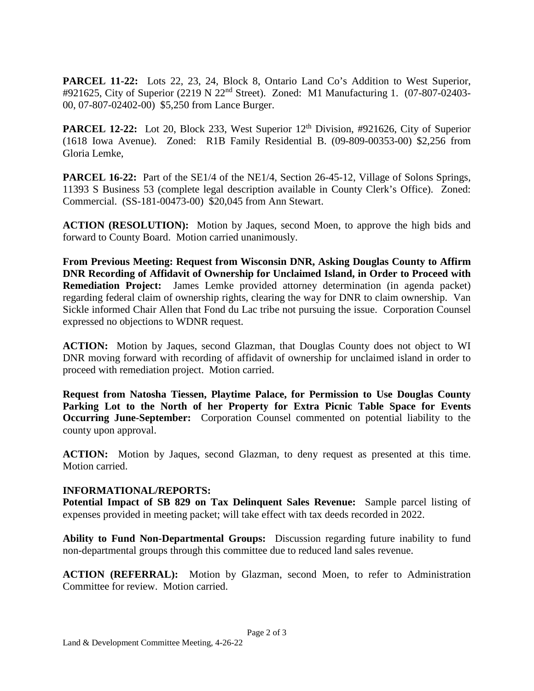**PARCEL 11-22:** Lots 22, 23, 24, Block 8, Ontario Land Co's Addition to West Superior, #921625, City of Superior (2219 N 22nd Street). Zoned: M1 Manufacturing 1. (07-807-02403- 00, 07-807-02402-00) \$5,250 from Lance Burger.

**PARCEL 12-22:** Lot 20, Block 233, West Superior  $12<sup>th</sup>$  Division, #921626, City of Superior (1618 Iowa Avenue). Zoned: R1B Family Residential B. (09-809-00353-00) \$2,256 from Gloria Lemke,

**PARCEL 16-22:** Part of the SE1/4 of the NE1/4, Section 26-45-12, Village of Solons Springs, 11393 S Business 53 (complete legal description available in County Clerk's Office). Zoned: Commercial. (SS-181-00473-00) \$20,045 from Ann Stewart.

**ACTION (RESOLUTION):** Motion by Jaques, second Moen, to approve the high bids and forward to County Board. Motion carried unanimously.

**From Previous Meeting: Request from Wisconsin DNR, Asking Douglas County to Affirm DNR Recording of Affidavit of Ownership for Unclaimed Island, in Order to Proceed with Remediation Project:** James Lemke provided attorney determination (in agenda packet) regarding federal claim of ownership rights, clearing the way for DNR to claim ownership. Van Sickle informed Chair Allen that Fond du Lac tribe not pursuing the issue. Corporation Counsel expressed no objections to WDNR request.

**ACTION:** Motion by Jaques, second Glazman, that Douglas County does not object to WI DNR moving forward with recording of affidavit of ownership for unclaimed island in order to proceed with remediation project. Motion carried.

**Request from Natosha Tiessen, Playtime Palace, for Permission to Use Douglas County Parking Lot to the North of her Property for Extra Picnic Table Space for Events Occurring June-September:** Corporation Counsel commented on potential liability to the county upon approval.

**ACTION:** Motion by Jaques, second Glazman, to deny request as presented at this time. Motion carried.

## **INFORMATIONAL/REPORTS:**

**Potential Impact of SB 829 on Tax Delinquent Sales Revenue:** Sample parcel listing of expenses provided in meeting packet; will take effect with tax deeds recorded in 2022.

**Ability to Fund Non-Departmental Groups:** Discussion regarding future inability to fund non-departmental groups through this committee due to reduced land sales revenue.

**ACTION (REFERRAL):** Motion by Glazman, second Moen, to refer to Administration Committee for review. Motion carried.